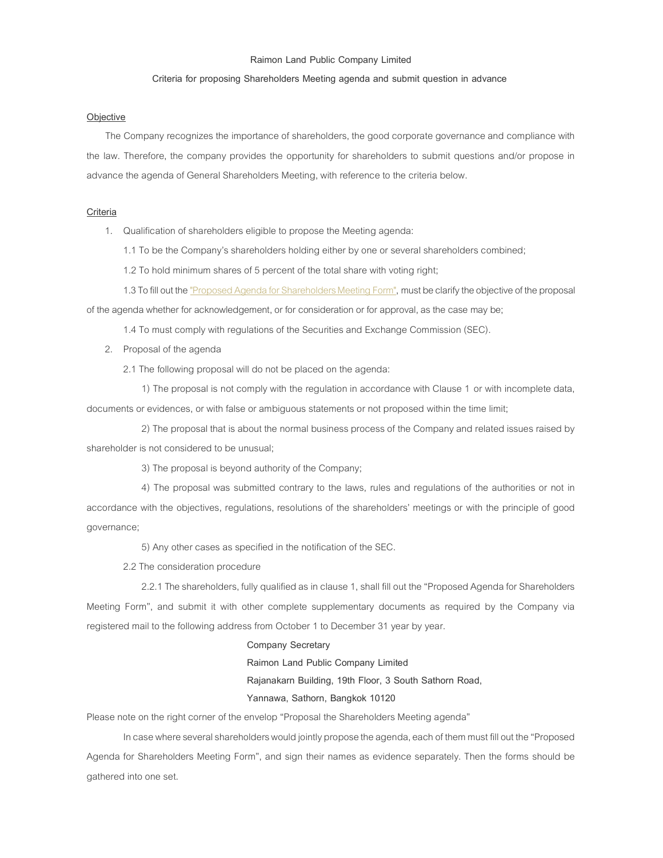## Raimon Land Public Company Limited

### Criteria for proposing Shareholders Meeting agenda and submit question in advance

#### **Objective**

 The Company recognizes the importance of shareholders, the good corporate governance and compliance with the law. Therefore, the company provides the opportunity for shareholders to submit questions and/or propose in advance the agenda of General Shareholders Meeting, with reference to the criteria below.

# **Criteria**

1. Qualification of shareholders eligible to propose the Meeting agenda:

1.1 To be the Company's shareholders holding either by one or several shareholders combined;

1.2 To hold minimum shares of 5 percent of the total share with voting right;

1.3 To fill out the "Proposed Agenda for Shareholders Meeting Form", must be clarify the objective of the proposal

of the agenda whether for acknowledgement, or for consideration or for approval, as the case may be;

1.4 To must comply with regulations of the Securities and Exchange Commission (SEC).

2. Proposal of the agenda

2.1 The following proposal will do not be placed on the agenda:

1) The proposal is not comply with the regulation in accordance with Clause 1 or with incomplete data, documents or evidences, or with false or ambiguous statements or not proposed within the time limit;

2) The proposal that is about the normal business process of the Company and related issues raised by shareholder is not considered to be unusual;

3) The proposal is beyond authority of the Company;

4) The proposal was submitted contrary to the laws, rules and regulations of the authorities or not in accordance with the objectives, regulations, resolutions of the shareholders' meetings or with the principle of good governance;

5) Any other cases as specified in the notification of the SEC.

2.2 The consideration procedure

2.2.1 The shareholders, fully qualified as in clause 1, shall fill out the "Proposed Agenda for Shareholders Meeting Form", and submit it with other complete supplementary documents as required by the Company via registered mail to the following address from October 1 to December 31 year by year.

## Company Secretary

Raimon Land Public Company Limited

Rajanakarn Building, 19th Floor, 3 South Sathorn Road,

## Yannawa, Sathorn, Bangkok 10120

Please note on the right corner of the envelop "Proposal the Shareholders Meeting agenda"

In case where several shareholders would jointly propose the agenda, each of them must fill out the "Proposed Agenda for Shareholders Meeting Form", and sign their names as evidence separately. Then the forms should be gathered into one set.